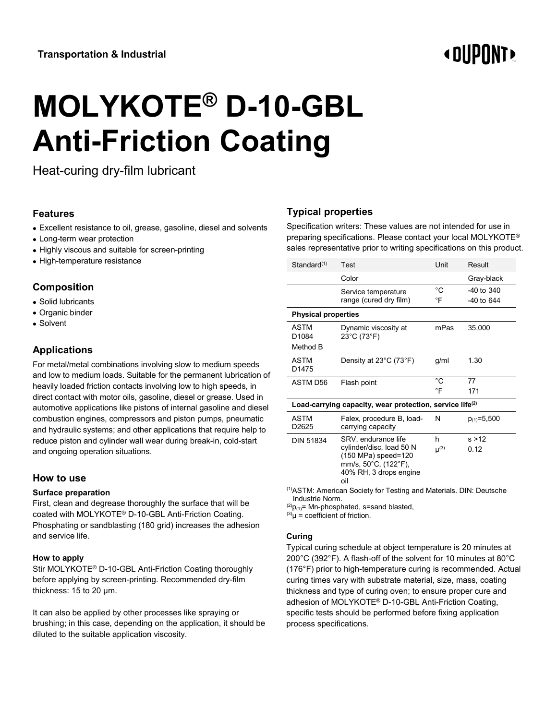# **«OUPONT»**

# **MOLYKOTE® D-10-GBL Anti-Friction Coating**

Heat-curing dry-film lubricant

# **Features**

- Excellent resistance to oil, grease, gasoline, diesel and solvents
- Long-term wear protection
- Highly viscous and suitable for screen-printing
- High-temperature resistance

# **Composition**

- Solid lubricants
- Organic binder
- Solvent

# **Applications**

For metal/metal combinations involving slow to medium speeds and low to medium loads. Suitable for the permanent lubrication of heavily loaded friction contacts involving low to high speeds, in direct contact with motor oils, gasoline, diesel or grease. Used in automotive applications like pistons of internal gasoline and diesel combustion engines, compressors and piston pumps, pneumatic and hydraulic systems; and other applications that require help to reduce piston and cylinder wall wear during break-in, cold-start and ongoing operation situations.

# **How to use**

### **Surface preparation**

First, clean and degrease thoroughly the surface that will be coated with MOLYKOTE® D-10-GBL Anti-Friction Coating. Phosphating or sandblasting (180 grid) increases the adhesion and service life.

### **How to apply**

Stir MOLYKOTE® D-10-GBL Anti-Friction Coating thoroughly before applying by screen-printing. Recommended dry-film thickness: 15 to 20 µm.

It can also be applied by other processes like spraying or brushing; in this case, depending on the application, it should be diluted to the suitable application viscosity.

# **Typical properties**

Specification writers: These values are not intended for use in preparing specifications. Please contact your local MOLYKOTE® sales representative prior to writing specifications on this product.

| Standard(1)                                                          | Test                                                                                                     | Unit               | Result            |
|----------------------------------------------------------------------|----------------------------------------------------------------------------------------------------------|--------------------|-------------------|
|                                                                      | Color                                                                                                    |                    | Gray-black        |
|                                                                      | Service temperature                                                                                      | °C                 | $-40$ to $340$    |
|                                                                      | range (cured dry film)                                                                                   | °F                 | $-40$ to 644      |
| <b>Physical properties</b>                                           |                                                                                                          |                    |                   |
| <b>ASTM</b>                                                          | Dynamic viscosity at                                                                                     | mPas               | 35,000            |
| D1084                                                                | 23°C (73°F)                                                                                              |                    |                   |
| Method B                                                             |                                                                                                          |                    |                   |
| ASTM                                                                 | Density at 23°C (73°F)                                                                                   | g/ml               | 1.30              |
| D <sub>1475</sub>                                                    |                                                                                                          |                    |                   |
| ASTM D56                                                             | Flash point                                                                                              | °C                 | 77                |
|                                                                      |                                                                                                          | °F                 | 171               |
| Load-carrying capacity, wear protection, service life <sup>(2)</sup> |                                                                                                          |                    |                   |
| ASTM<br>D2625                                                        | Falex, procedure B, load-<br>carrying capacity                                                           | N                  | $p_{(1)} = 5,500$ |
| <b>DIN 51834</b>                                                     | SRV, endurance life                                                                                      | h                  | s > 12            |
|                                                                      | cylinder/disc, load 50 N<br>(150 MPa) speed=120<br>mm/s, 50°C, (122°F),<br>40% RH, 3 drops engine<br>oil | $\mathsf{u}^{(3)}$ | 0.12              |

(1)ASTM: American Society for Testing and Materials. DIN: Deutsche Industrie Norm.

 $^{(2)}P_{(1)}$ = Mn-phosphated, s=sand blasted,

 $^{(3)}\mu =$  coefficient of friction.

### **Curing**

Typical curing schedule at object temperature is 20 minutes at 200°C (392°F). A flash-off of the solvent for 10 minutes at 80°C (176°F) prior to high-temperature curing is recommended. Actual curing times vary with substrate material, size, mass, coating thickness and type of curing oven; to ensure proper cure and adhesion of MOLYKOTE® D-10-GBL Anti-Friction Coating, specific tests should be performed before fixing application process specifications.